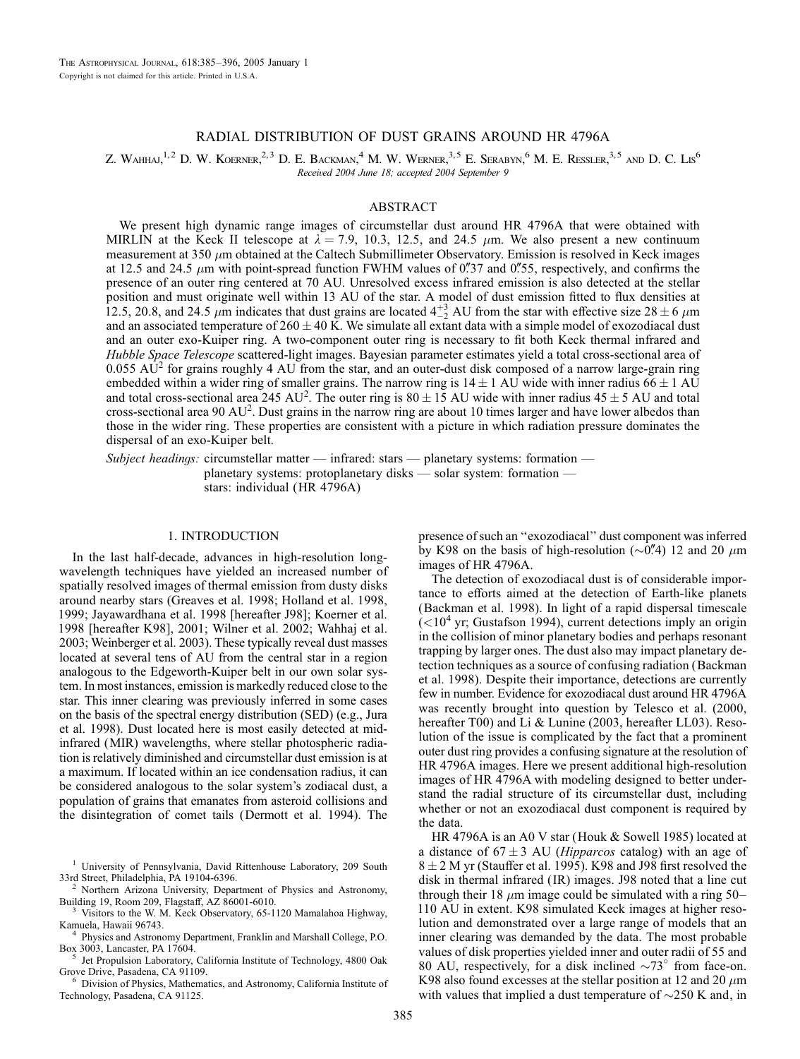# RADIAL DISTRIBUTION OF DUST GRAINS AROUND HR 4796A

Z. WAHHAJ,<sup>1,2</sup> D. W. KOERNER,<sup>2,3</sup> D. E. BACKMAN,<sup>4</sup> M. W. WERNER,<sup>3,5</sup> E. SERABYN,<sup>6</sup> M. E. RESSLER,<sup>3,5</sup> AND D. C. Lis<sup>6</sup> Received 2004 June 18; accepted 2004 September 9

## ABSTRACT

We present high dynamic range images of circumstellar dust around HR 4796A that were obtained with MIRLIN at the Keck II telescope at  $\lambda = 7.9$ , 10.3, 12.5, and 24.5  $\mu$ m. We also present a new continuum measurement at 350  $\mu$ m obtained at the Caltech Submillimeter Observatory. Emission is resolved in Keck images at 12.5 and 24.5  $\mu$ m with point-spread function FWHM values of 0.737 and 0.755, respectively, and confirms the presence of an outer ring centered at 70 AU. Unresolved excess infrared emission is also detected at the stellar position and must originate well within 13 AU of the star. A model of dust emission fitted to flux densities at 12.5, 20.8, and 24.5  $\mu$ m indicates that dust grains are located  $4^{+3}_{-2}$  AU from the star with effective size 28  $\pm$  6  $\mu$ m and an associated temperature of  $260 \pm 40$  K. We simulate all extant data with a simple model of exozodiacal dust and an outer exo-Kuiper ring. A two-component outer ring is necessary to fit both Keck thermal infrared and Hubble Space Telescope scattered-light images. Bayesian parameter estimates yield a total cross-sectional area of 0.055  $\text{AU}^2$  for grains roughly 4 AU from the star, and an outer-dust disk composed of a narrow large-grain ring embedded within a wider ring of smaller grains. The narrow ring is  $14 \pm 1$  AU wide with inner radius 66  $\pm 1$  AU and total cross-sectional area 245 AU<sup>2</sup>. The outer ring is  $80 \pm 15$  AU wide with inner radius  $45 \pm 5$  AU and total cross-sectional area 90 AU<sup>2</sup>. Dust grains in the narrow ring are about 10 times larger and have lower albedos than those in the wider ring. These properties are consistent with a picture in which radiation pressure dominates the dispersal of an exo-Kuiper belt.

Subject headings: circumstellar matter  $-$  infrared: stars  $-$  planetary systems: formation  $$ planetary systems: protoplanetary disks — solar system: formation stars: individual (HR 4796A)

## 1. INTRODUCTION

In the last half-decade, advances in high-resolution longwavelength techniques have yielded an increased number of spatially resolved images of thermal emission from dusty disks around nearby stars (Greaves et al. 1998; Holland et al. 1998, 1999; Jayawardhana et al. 1998 [hereafter J98]; Koerner et al. 1998 [hereafter K98], 2001; Wilner et al. 2002; Wahhaj et al. 2003; Weinberger et al. 2003). These typically reveal dust masses located at several tens of AU from the central star in a region analogous to the Edgeworth-Kuiper belt in our own solar system. In most instances, emission is markedly reduced close to the star. This inner clearing was previously inferred in some cases on the basis of the spectral energy distribution (SED) (e.g., Jura et al. 1998). Dust located here is most easily detected at midinfrared (MIR) wavelengths, where stellar photospheric radiation is relatively diminished and circumstellar dust emission is at a maximum. If located within an ice condensation radius, it can be considered analogous to the solar system's zodiacal dust, a population of grains that emanates from asteroid collisions and the disintegration of comet tails (Dermott et al. 1994). The

Jet Propulsion Laboratory, California Institute of Technology, 4800 Oak Grove Drive, Pasadena, CA 91109.<br><sup>6</sup> Division of Physics, Mathematics, and Astronomy, California Institute of

Technology, Pasadena, CA 91125.

presence of such an ''exozodiacal'' dust component was inferred by K98 on the basis of high-resolution ( $\sim 0\rlap{.}^{\prime\prime}$ ) 12 and 20  $\mu$ m images of HR 4796A.

The detection of exozodiacal dust is of considerable importance to efforts aimed at the detection of Earth-like planets (Backman et al. 1998). In light of a rapid dispersal timescale  $(<10<sup>4</sup>$  yr; Gustafson 1994), current detections imply an origin in the collision of minor planetary bodies and perhaps resonant trapping by larger ones. The dust also may impact planetary detection techniques as a source of confusing radiation (Backman et al. 1998). Despite their importance, detections are currently few in number. Evidence for exozodiacal dust around HR 4796A was recently brought into question by Telesco et al. (2000, hereafter T00) and Li & Lunine (2003, hereafter LL03). Resolution of the issue is complicated by the fact that a prominent outer dust ring provides a confusing signature at the resolution of HR 4796A images. Here we present additional high-resolution images of HR 4796A with modeling designed to better understand the radial structure of its circumstellar dust, including whether or not an exozodiacal dust component is required by the data.

HR 4796A is an A0 V star (Houk & Sowell 1985) located at a distance of  $67 \pm 3$  AU (*Hipparcos* catalog) with an age of  $8 \pm 2$  M yr (Stauffer et al. 1995). K98 and J98 first resolved the disk in thermal infrared ( IR) images. J98 noted that a line cut through their 18  $\mu$ m image could be simulated with a ring 50– 110 AU in extent. K98 simulated Keck images at higher resolution and demonstrated over a large range of models that an inner clearing was demanded by the data. The most probable values of disk properties yielded inner and outer radii of 55 and 80 AU, respectively, for a disk inclined  $\sim 73^\circ$  from face-on. K98 also found excesses at the stellar position at 12 and 20  $\mu$ m with values that implied a dust temperature of  $\sim$ 250 K and, in

<sup>&</sup>lt;sup>1</sup> University of Pennsylvania, David Rittenhouse Laboratory, 209 South 33rd Street, Philadelphia, PA 19104-6396.<br><sup>2</sup> Northern Arizona University, Department of Physics and Astronomy,

Building 19, Room 209, Flagstaff, AZ 86001-6010.<br><sup>3</sup> Visitors to the W. M. Keck Observatory, 65-1120 Mamalahoa Highway, Kamuela, Hawaii 96743.

<sup>&</sup>lt;sup>4</sup> Physics and Astronomy Department, Franklin and Marshall College, P.O. Box 3003, Lancaster, PA 17604.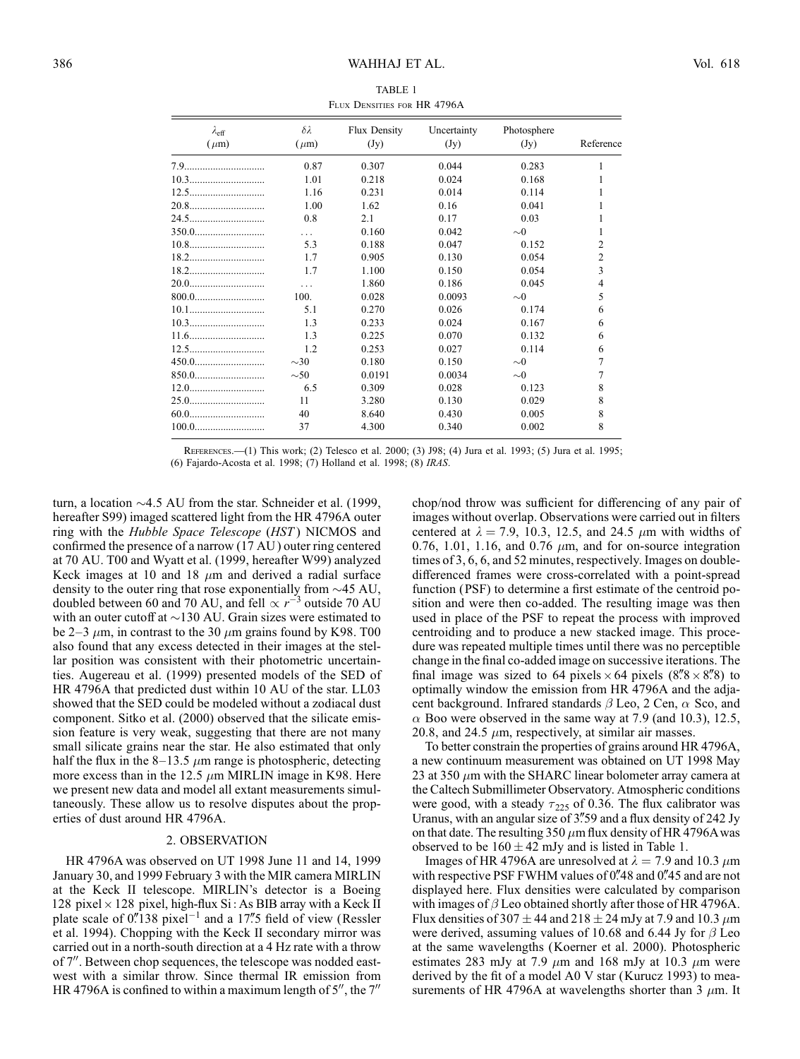| TABLE 1 |                             |  |  |  |  |  |  |
|---------|-----------------------------|--|--|--|--|--|--|
|         | FLUX DENSITIES FOR HR 4796A |  |  |  |  |  |  |

| $\lambda_{\rm eff}$<br>$(\mu m)$ | $\delta \lambda$<br>$(\mu m)$ | Flux Density<br>(Jy) | Uncertainty<br>(Jy) | Photosphere<br>(Jy) | Reference      |
|----------------------------------|-------------------------------|----------------------|---------------------|---------------------|----------------|
| 7.9                              | 0.87                          | 0.307                | 0.044               | 0.283               | 1              |
|                                  | 1.01                          | 0.218                | 0.024               | 0.168               |                |
|                                  | 1.16                          | 0.231                | 0.014               | 0.114               |                |
| 20.8                             | 1.00                          | 1.62                 | 0.16                | 0.041               |                |
| 24.5                             | 0.8                           | 2.1                  | 0.17                | 0.03                |                |
| 350.0                            | $\cdots$                      | 0.160                | 0.042               | $\sim 0$            |                |
|                                  | 5.3                           | 0.188                | 0.047               | 0.152               | $\overline{2}$ |
|                                  | 1.7                           | 0.905                | 0.130               | 0.054               | $\overline{2}$ |
|                                  | 1.7                           | 1.100                | 0.150               | 0.054               | 3              |
| 20.0                             | $\ddots$                      | 1.860                | 0.186               | 0.045               | 4              |
|                                  | 100.                          | 0.028                | 0.0093              | $\sim 0$            | 5              |
|                                  | 5.1                           | 0.270                | 0.026               | 0.174               | 6              |
|                                  | 1.3                           | 0.233                | 0.024               | 0.167               | 6              |
|                                  | 1.3                           | 0.225                | 0.070               | 0.132               | 6              |
|                                  | 1.2                           | 0.253                | 0.027               | 0.114               | 6              |
| 450.0                            | $\sim$ 30                     | 0.180                | 0.150               | $\sim \! 0$         |                |
| 850.0                            | $\sim$ 50                     | 0.0191               | 0.0034              | $\sim \! 0$         | 7              |
|                                  | 6.5                           | 0.309                | 0.028               | 0.123               | 8              |
| 25.0                             | 11                            | 3.280                | 0.130               | 0.029               | 8              |
| 60.0                             | 40                            | 8.640                | 0.430               | 0.005               | 8              |
|                                  | 37                            | 4.300                | 0.340               | 0.002               | 8              |

References.—(1) This work; (2) Telesco et al. 2000; (3) J98; (4) Jura et al. 1993; (5) Jura et al. 1995; (6) Fajardo-Acosta et al. 1998; (7) Holland et al. 1998; (8) IRAS.

turn, a location  $\sim$  4.5 AU from the star. Schneider et al. (1999, hereafter S99) imaged scattered light from the HR 4796A outer ring with the *Hubble Space Telescope* (*HST*) NICMOS and confirmed the presence of a narrow (17 AU ) outer ring centered at 70 AU. T00 and Wyatt et al. (1999, hereafter W99) analyzed Keck images at 10 and 18  $\mu$ m and derived a radial surface density to the outer ring that rose exponentially from  $\sim$  45 AU, doubled between 60 and 70 AU, and fell  $\propto r^{-3}$  outside 70 AU with an outer cutoff at  $\sim$ 130 AU. Grain sizes were estimated to be 2–3  $\mu$ m, in contrast to the 30  $\mu$ m grains found by K98. T00 also found that any excess detected in their images at the stellar position was consistent with their photometric uncertainties. Augereau et al. (1999) presented models of the SED of HR 4796A that predicted dust within 10 AU of the star. LL03 showed that the SED could be modeled without a zodiacal dust component. Sitko et al. (2000) observed that the silicate emission feature is very weak, suggesting that there are not many small silicate grains near the star. He also estimated that only half the flux in the 8–13.5  $\mu$ m range is photospheric, detecting more excess than in the 12.5  $\mu$ m MIRLIN image in K98. Here we present new data and model all extant measurements simultaneously. These allow us to resolve disputes about the properties of dust around HR 4796A.

## 2. OBSERVATION

HR 4796A was observed on UT 1998 June 11 and 14, 1999 January 30, and 1999 February 3 with the MIR camera MIRLIN at the Keck II telescope. MIRLIN's detector is a Boeing 128 pixel  $\times$  128 pixel, high-flux Si : As BIB array with a Keck II plate scale of  $0''138$  pixel<sup>-1</sup> and a 17".5 field of view (Ressler et al. 1994). Chopping with the Keck II secondary mirror was carried out in a north-south direction at a 4 Hz rate with a throw of 7". Between chop sequences, the telescope was nodded eastwest with a similar throw. Since thermal IR emission from HR 4796A is confined to within a maximum length of  $5^{\prime\prime}$ , the  $7^{\prime\prime}$ 

chop/nod throw was sufficient for differencing of any pair of images without overlap. Observations were carried out in filters centered at  $\lambda = 7.9$ , 10.3, 12.5, and 24.5  $\mu$ m with widths of 0.76, 1.01, 1.16, and 0.76  $\mu$ m, and for on-source integration times of 3, 6, 6, and 52 minutes, respectively. Images on doubledifferenced frames were cross-correlated with a point-spread function (PSF) to determine a first estimate of the centroid position and were then co-added. The resulting image was then used in place of the PSF to repeat the process with improved centroiding and to produce a new stacked image. This procedure was repeated multiple times until there was no perceptible change in the final co-added image on successive iterations. The final image was sized to 64 pixels  $\times$  64 pixels (8.8  $\times$  8.88) to optimally window the emission from HR 4796A and the adjacent background. Infrared standards  $\beta$  Leo, 2 Cen,  $\alpha$  Sco, and  $\alpha$  Boo were observed in the same way at 7.9 (and 10.3), 12.5, 20.8, and 24.5  $\mu$ m, respectively, at similar air masses.

To better constrain the properties of grains around HR 4796A, a new continuum measurement was obtained on UT 1998 May 23 at 350  $\mu$ m with the SHARC linear bolometer array camera at the Caltech Submillimeter Observatory. Atmospheric conditions were good, with a steady  $\tau_{225}$  of 0.36. The flux calibrator was Uranus, with an angular size of  $3''$ 59 and a flux density of 242 Jy on that date. The resulting  $350 \mu m$  flux density of HR 4796A was observed to be  $160 \pm 42$  mJy and is listed in Table 1.

Images of HR 4796A are unresolved at  $\lambda = 7.9$  and 10.3  $\mu$ m with respective PSF FWHM values of  $0\rlap{.}^{\prime\prime}48$  and  $0\rlap{.}^{\prime\prime}45$  and are not displayed here. Flux densities were calculated by comparison with images of  $\beta$  Leo obtained shortly after those of HR 4796A. Flux densities of 307  $\pm$  44 and 218  $\pm$  24 mJy at 7.9 and 10.3  $\mu$ m were derived, assuming values of 10.68 and 6.44 Jy for  $\beta$  Leo at the same wavelengths (Koerner et al. 2000). Photospheric estimates 283 mJy at 7.9  $\mu$ m and 168 mJy at 10.3  $\mu$ m were derived by the fit of a model A0 V star (Kurucz 1993) to measurements of HR 4796A at wavelengths shorter than 3  $\mu$ m. It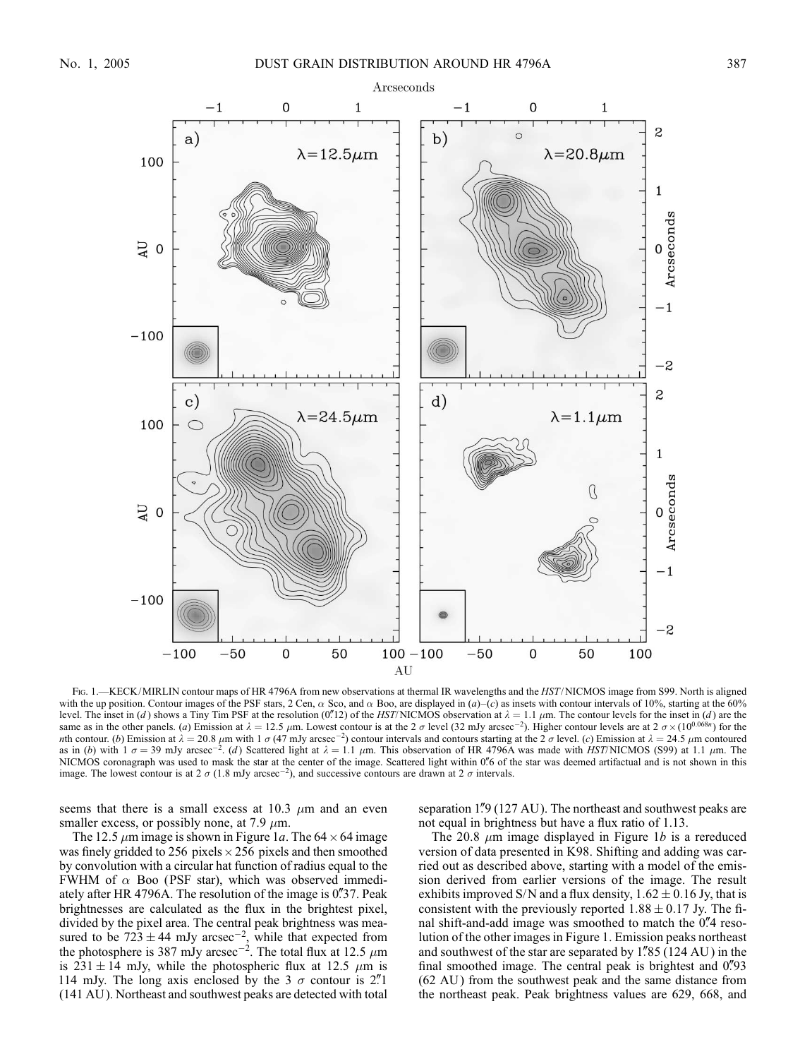

FIG. 1.—KECK/MIRLIN contour maps of HR 4796A from new observations at thermal IR wavelengths and the HST/NICMOS image from S99. North is aligned with the up position. Contour images of the PSF stars, 2 Cen,  $\alpha$  Sco, and  $\alpha$  Boo, are displayed in (a)–(c) as insets with contour intervals of 10%, starting at the 60% level. The inset in (d) shows a Tiny Tim PSF at the resolution (0.12) of the HST/NICMOS observation at  $\lambda = 1.1 \mu$ m. The contour levels for the inset in (d) are the same as in the other panels. (a) Emission at  $\lambda = 12.5 \ \mu \text{m}$ . Lowest contour is at the 2  $\sigma$  level (32 mJy arcsec<sup>-2</sup>). Higher contour levels are at 2  $\sigma \times (10^{0.068n})$  for the wth contour. (b) Emission at  $\lambda = 20.8$   $\mu$ m with 1  $\sigma$  (47 mJy arcsec<sup>-2</sup>) contour intervals and contours starting at the  $2\sigma$  level. (c) Emission at  $\lambda = 24.5$   $\mu$ m contoured as in (b) with  $1 \sigma = 39$  mJy arcsec<sup>-2</sup>. (d) Scattered light at  $\lambda = 1.1 \mu$ m. This observation of HR 4796A was made with *HST*/NICMOS (S99) at 1.1  $\mu$ m. The NICMOS coronagraph was used to mask the star at the center of the image. Scattered light within 0.6 of the star was deemed artifactual and is not shown in this image. The lowest contour is at 2  $\sigma$  (1.8 mJy arcsec<sup>-2</sup>), and successive contours are drawn at 2  $\sigma$  intervals.

seems that there is a small excess at 10.3  $\mu$ m and an even smaller excess, or possibly none, at 7.9  $\mu$ m.

The 12.5  $\mu$ m image is shown in Figure 1a. The 64  $\times$  64 image was finely gridded to 256 pixels  $\times$  256 pixels and then smoothed by convolution with a circular hat function of radius equal to the FWHM of  $\alpha$  Boo (PSF star), which was observed immediately after HR 4796A. The resolution of the image is  $0\frac{37}{37}$ . Peak brightnesses are calculated as the flux in the brightest pixel, divided by the pixel area. The central peak brightness was measured to be  $723 \pm 44$  mJy arcsec<sup>-2</sup>, while that expected from the photosphere is 387 mJy arcsec<sup>-2</sup>. The total flux at 12.5  $\mu$ m is 231  $\pm$  14 mJy, while the photospheric flux at 12.5  $\mu$ m is 114 mJy. The long axis enclosed by the 3  $\sigma$  contour is 2.<sup>''</sup> (141 AU ). Northeast and southwest peaks are detected with total separation 1.<sup>n</sup> (127 AU). The northeast and southwest peaks are not equal in brightness but have a flux ratio of 1.13.

The 20.8  $\mu$ m image displayed in Figure 1b is a rereduced version of data presented in K98. Shifting and adding was carried out as described above, starting with a model of the emission derived from earlier versions of the image. The result exhibits improved S/N and a flux density,  $1.62 \pm 0.16$  Jy, that is consistent with the previously reported  $1.88 \pm 0.17$  Jy. The final shift-and-add image was smoothed to match the 0.4 resolution of the other images in Figure 1. Emission peaks northeast and southwest of the star are separated by  $1\frac{85}{124}$  AU) in the final smoothed image. The central peak is brightest and 0. 93 (62 AU) from the southwest peak and the same distance from the northeast peak. Peak brightness values are 629, 668, and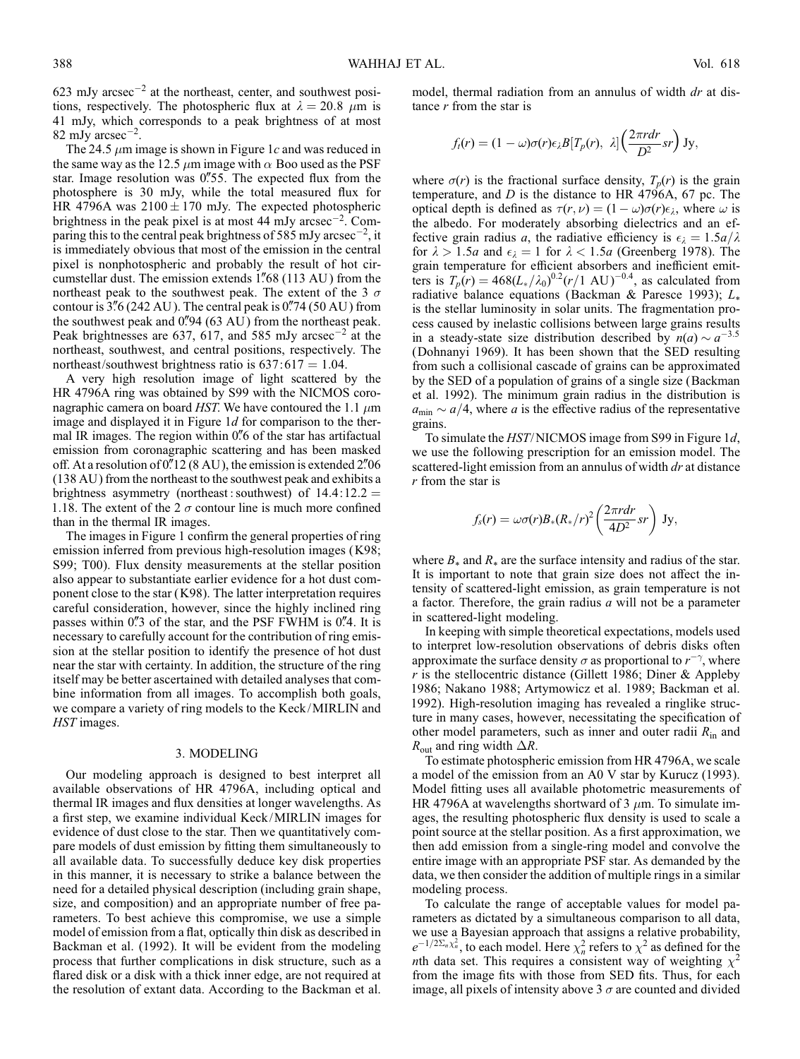623 mJy arcsec<sup> $-2$ </sup> at the northeast, center, and southwest positions, respectively. The photospheric flux at  $\lambda = 20.8 \mu m$  is 41 mJy, which corresponds to a peak brightness of at most 82 mJy arcsec<sup> $-2$ </sup>.

The 24.5  $\mu$ m image is shown in Figure 1c and was reduced in the same way as the 12.5  $\mu$ m image with  $\alpha$  Boo used as the PSF star. Image resolution was  $0\rlap{.}''55$ . The expected flux from the photosphere is 30 mJy, while the total measured flux for HR 4796A was  $2100 \pm 170$  mJy. The expected photospheric brightness in the peak pixel is at most 44 mJy arcsec<sup>-2</sup>. Comparing this to the central peak brightness of 585 mJy arcsec<sup>-2</sup>, it is immediately obvious that most of the emission in the central pixel is nonphotospheric and probably the result of hot circumstellar dust. The emission extends  $1\degree{68}$  (113 AU) from the northeast peak to the southwest peak. The extent of the 3  $\sigma$ contour is  $3\frac{3}{6}$  (242 AU). The central peak is  $0\frac{7}{7}$  (50 AU) from the southwest peak and  $0\frac{94}{63}$  AU ) from the northeast peak. Peak brightnesses are 637, 617, and 585 mJy arcsec<sup>-2</sup> at the northeast, southwest, and central positions, respectively. The northeast/southwest brightness ratio is  $637:617 = 1.04$ .

A very high resolution image of light scattered by the HR 4796A ring was obtained by S99 with the NICMOS coronagraphic camera on board HST. We have contoured the 1.1  $\mu$ m image and displayed it in Figure  $1d$  for comparison to the thermal IR images. The region within  $0\%$  of the star has artifactual emission from coronagraphic scattering and has been masked off. At a resolution of  $0''12 (8 \text{ AU})$ , the emission is extended 2.706 (138 AU ) from the northeast to the southwest peak and exhibits a brightness asymmetry (northeast: southwest) of  $14.4:12.2 =$ 1.18. The extent of the 2  $\sigma$  contour line is much more confined than in the thermal IR images.

The images in Figure 1 confirm the general properties of ring emission inferred from previous high-resolution images (K98; S99; T00). Flux density measurements at the stellar position also appear to substantiate earlier evidence for a hot dust component close to the star (K98). The latter interpretation requires careful consideration, however, since the highly inclined ring passes within  $0\rlap{.}^{\prime\prime}3$  of the star, and the PSF FWHM is  $0\rlap{.}^{\prime\prime}4$ . It is necessary to carefully account for the contribution of ring emission at the stellar position to identify the presence of hot dust near the star with certainty. In addition, the structure of the ring itself may be better ascertained with detailed analyses that combine information from all images. To accomplish both goals, we compare a variety of ring models to the Keck/MIRLIN and HST images.

#### 3. MODELING

Our modeling approach is designed to best interpret all available observations of HR 4796A, including optical and thermal IR images and flux densities at longer wavelengths. As a first step, we examine individual Keck/MIRLIN images for evidence of dust close to the star. Then we quantitatively compare models of dust emission by fitting them simultaneously to all available data. To successfully deduce key disk properties in this manner, it is necessary to strike a balance between the need for a detailed physical description (including grain shape, size, and composition) and an appropriate number of free parameters. To best achieve this compromise, we use a simple model of emission from a flat, optically thin disk as described in Backman et al. (1992). It will be evident from the modeling process that further complications in disk structure, such as a flared disk or a disk with a thick inner edge, are not required at the resolution of extant data. According to the Backman et al.

model, thermal radiation from an annulus of width dr at distance  $r$  from the star is

$$
f_t(r) = (1 - \omega)\sigma(r)\epsilon_{\lambda}B[T_p(r), \lambda] \left(\frac{2\pi r dr}{D^2}sr\right)Jy,
$$

where  $\sigma(r)$  is the fractional surface density,  $T_p(r)$  is the grain temperature, and  $D$  is the distance to HR 4796A, 67 pc. The optical depth is defined as  $\tau(r, \nu) = (1 - \omega)\sigma(r)\epsilon_{\lambda}$ , where  $\omega$  is the albedo. For moderately absorbing dielectrics and an effective grain radius a, the radiative efficiency is  $\epsilon_{\lambda} = 1.5a/\lambda$ for  $\lambda > 1.5a$  and  $\epsilon_{\lambda} = 1$  for  $\lambda < 1.5a$  (Greenberg 1978). The grain temperature for efficient absorbers and inefficient emitters is  $T_p(r) = 468(L_*/\lambda_0)^{0.2}(r/1 \text{ AU})^{-0.4}$ , as calculated from radiative balance equations (Backman & Paresce 1993);  $L_*$ is the stellar luminosity in solar units. The fragmentation process caused by inelastic collisions between large grains results in a steady-state size distribution described by  $n(a) \sim a^{-3.5}$ (Dohnanyi 1969). It has been shown that the SED resulting from such a collisional cascade of grains can be approximated by the SED of a population of grains of a single size (Backman et al. 1992). The minimum grain radius in the distribution is  $a_{\text{min}} \sim a/4$ , where a is the effective radius of the representative grains.

To simulate the HST/NICMOS image from S99 in Figure 1d, we use the following prescription for an emission model. The scattered-light emission from an annulus of width dr at distance  $r$  from the star is

$$
f_s(r) = \omega \sigma(r) B_*(R_*/r)^2 \left(\frac{2\pi r dr}{4D^2} sr\right) \mathrm{Jy},
$$

where  $B_*$  and  $R_*$  are the surface intensity and radius of the star. It is important to note that grain size does not affect the intensity of scattered-light emission, as grain temperature is not a factor. Therefore, the grain radius  $a$  will not be a parameter in scattered-light modeling.

In keeping with simple theoretical expectations, models used to interpret low-resolution observations of debris disks often approximate the surface density  $\sigma$  as proportional to  $r^{-\gamma}$ , where r is the stellocentric distance (Gillett 1986; Diner & Appleby 1986; Nakano 1988; Artymowicz et al. 1989; Backman et al. 1992). High-resolution imaging has revealed a ringlike structure in many cases, however, necessitating the specification of other model parameters, such as inner and outer radii  $R_{\text{in}}$  and  $R_{\text{out}}$  and ring width  $\Delta R$ .

To estimate photospheric emission from HR 4796A, we scale a model of the emission from an A0 V star by Kurucz (1993). Model fitting uses all available photometric measurements of HR 4796A at wavelengths shortward of 3  $\mu$ m. To simulate images, the resulting photospheric flux density is used to scale a point source at the stellar position. As a first approximation, we then add emission from a single-ring model and convolve the entire image with an appropriate PSF star. As demanded by the data, we then consider the addition of multiple rings in a similar modeling process.

To calculate the range of acceptable values for model parameters as dictated by a simultaneous comparison to all data, we use a Bayesian approach that assigns a relative probability,  $e^{-1/2\Sigma_n \chi_n^2}$ , to each model. Here  $\chi_n^2$  refers to  $\chi^2$  as defined for the *nth* data set. This requires a consistent way of weighting  $\chi^2$ from the image fits with those from SED fits. Thus, for each image, all pixels of intensity above 3  $\sigma$  are counted and divided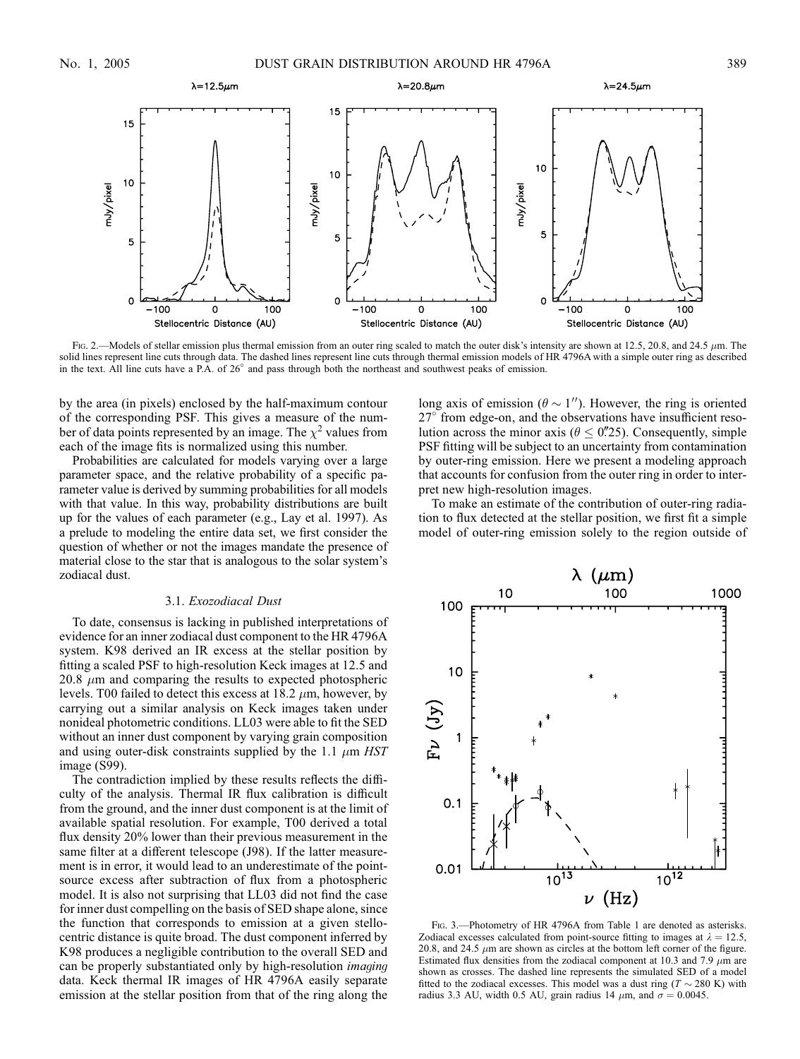

Fig. 2.—Models of stellar emission plus thermal emission from an outer ring scaled to match the outer disk's intensity are shown at 12.5, 20.8, and 24.5  $\mu$ m. The solid lines represent line cuts through data. The dashed lines represent line cuts through thermal emission models of HR 4796A with a simple outer ring as described in the text. All line cuts have a P.A. of 26° and pass through both the northeast and southwest peaks of emission.

by the area (in pixels) enclosed by the half-maximum contour of the corresponding PSF. This gives a measure of the number of data points represented by an image. The  $\chi^2$  values from each of the image fits is normalized using this number.

Probabilities are calculated for models varying over a large parameter space, and the relative probability of a specific parameter value is derived by summing probabilities for all models with that value. In this way, probability distributions are built up for the values of each parameter (e.g., Lay et al. 1997). As a prelude to modeling the entire data set, we first consider the question of whether or not the images mandate the presence of material close to the star that is analogous to the solar system's zodiacal dust.

## 3.1. Exozodiacal Dust

To date, consensus is lacking in published interpretations of evidence for an inner zodiacal dust component to the HR 4796A system. K98 derived an IR excess at the stellar position by fitting a scaled PSF to high-resolution Keck images at 12.5 and 20.8  $\mu$ m and comparing the results to expected photospheric levels. T00 failed to detect this excess at  $18.2 \mu m$ , however, by carrying out a similar analysis on Keck images taken under nonideal photometric conditions. LL03 were able to fit the SED without an inner dust component by varying grain composition and using outer-disk constraints supplied by the 1.1  $\mu$ m HST image (S99).

The contradiction implied by these results reflects the difficulty of the analysis. Thermal IR flux calibration is difficult from the ground, and the inner dust component is at the limit of available spatial resolution. For example, T00 derived a total flux density 20% lower than their previous measurement in the same filter at a different telescope (J98). If the latter measurement is in error, it would lead to an underestimate of the pointsource excess after subtraction of flux from a photospheric model. It is also not surprising that LL03 did not find the case for inner dust compelling on the basis of SED shape alone, since the function that corresponds to emission at a given stellocentric distance is quite broad. The dust component inferred by K98 produces a negligible contribution to the overall SED and can be properly substantiated only by high-resolution imaging data. Keck thermal IR images of HR 4796A easily separate emission at the stellar position from that of the ring along the

long axis of emission ( $\theta \sim 1$ "). However, the ring is oriented  $27^{\circ}$  from edge-on, and the observations have insufficient resolution across the minor axis ( $\theta \leq 0$ . Consequently, simple PSF fitting will be subject to an uncertainty from contamination by outer-ring emission. Here we present a modeling approach that accounts for confusion from the outer ring in order to interpret new high-resolution images.

To make an estimate of the contribution of outer-ring radiation to flux detected at the stellar position, we first fit a simple model of outer-ring emission solely to the region outside of



FIG. 3.—Photometry of HR 4796A from Table 1 are denoted as asterisks. Zodiacal excesses calculated from point-source fitting to images at  $\lambda = 12.5$ , 20.8, and 24.5  $\mu$ m are shown as circles at the bottom left corner of the figure. Estimated flux densities from the zodiacal component at 10.3 and 7.9  $\mu$ m are shown as crosses. The dashed line represents the simulated SED of a model fitted to the zodiacal excesses. This model was a dust ring ( $T \sim 280$  K) with radius 3.3 AU, width 0.5 AU, grain radius 14  $\mu$ m, and  $\sigma = 0.0045$ .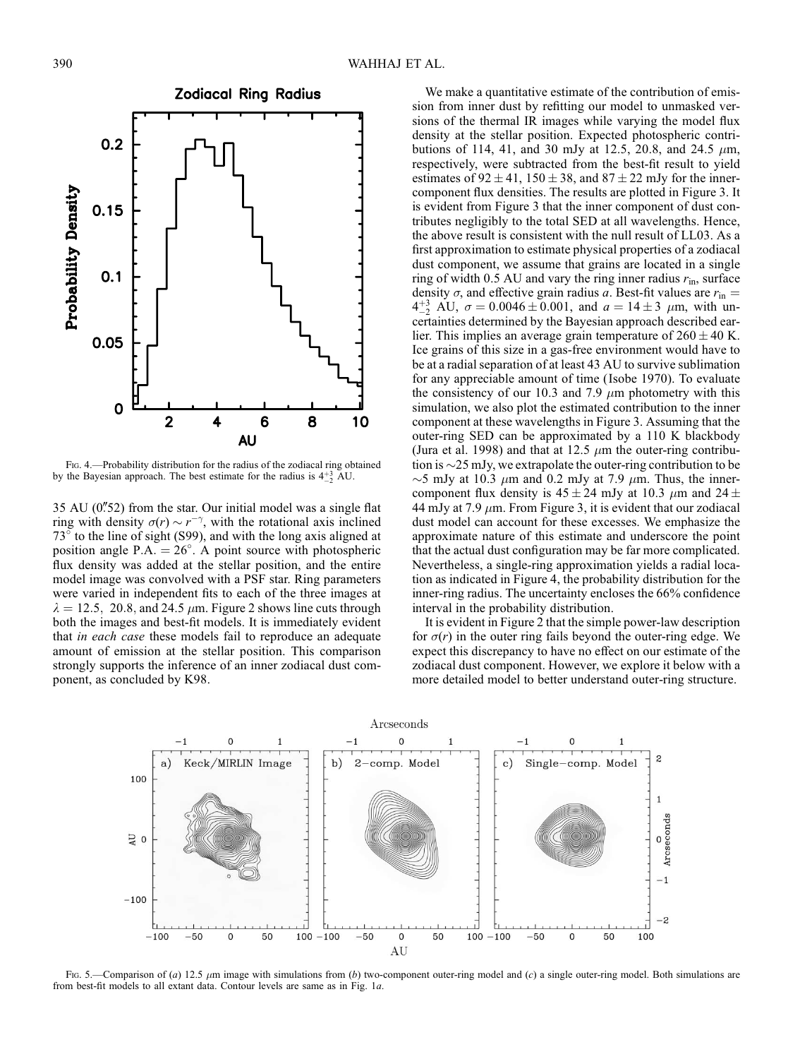

Fig. 4.—Probability distribution for the radius of the zodiacal ring obtained by the Bayesian approach. The best estimate for the radius is  $4^{+3}_{-2}$  AU.

 $35 \text{ AU}$  (0.752) from the star. Our initial model was a single flat ring with density  $\sigma(r) \sim r^{-\gamma}$ , with the rotational axis inclined  $73^\circ$  to the line of sight (S99), and with the long axis aligned at position angle P.A.  $=$  26°. A point source with photospheric flux density was added at the stellar position, and the entire model image was convolved with a PSF star. Ring parameters were varied in independent fits to each of the three images at  $\lambda = 12.5$ , 20.8, and 24.5  $\mu$ m. Figure 2 shows line cuts through both the images and best-fit models. It is immediately evident that in each case these models fail to reproduce an adequate amount of emission at the stellar position. This comparison strongly supports the inference of an inner zodiacal dust component, as concluded by K98.

We make a quantitative estimate of the contribution of emission from inner dust by refitting our model to unmasked versions of the thermal IR images while varying the model flux density at the stellar position. Expected photospheric contributions of 114, 41, and 30 mJy at 12.5, 20.8, and 24.5  $\mu$ m, respectively, were subtracted from the best-fit result to yield estimates of  $92 \pm 41$ ,  $150 \pm 38$ , and  $87 \pm 22$  mJy for the innercomponent flux densities. The results are plotted in Figure 3. It is evident from Figure 3 that the inner component of dust contributes negligibly to the total SED at all wavelengths. Hence, the above result is consistent with the null result of LL03. As a first approximation to estimate physical properties of a zodiacal dust component, we assume that grains are located in a single ring of width 0.5 AU and vary the ring inner radius  $r_{\text{in}}$ , surface density  $\sigma$ , and effective grain radius a. Best-fit values are  $r_{\rm in}$  =  $4^{+3}_{-2}$  AU,  $\sigma = 0.0046 \pm 0.001$ , and  $a = 14 \pm 3$   $\mu$ m, with uncertainties determined by the Bayesian approach described earlier. This implies an average grain temperature of  $260 \pm 40$  K. Ice grains of this size in a gas-free environment would have to be at a radial separation of at least 43 AU to survive sublimation for any appreciable amount of time ( Isobe 1970). To evaluate the consistency of our 10.3 and 7.9  $\mu$ m photometry with this simulation, we also plot the estimated contribution to the inner component at these wavelengths in Figure 3. Assuming that the outer-ring SED can be approximated by a 110 K blackbody (Jura et al. 1998) and that at 12.5  $\mu$ m the outer-ring contribution is  $\sim$ 25 mJy, we extrapolate the outer-ring contribution to be  $\sim$ 5 mJy at 10.3  $\mu$ m and 0.2 mJy at 7.9  $\mu$ m. Thus, the innercomponent flux density is  $45 \pm 24$  mJy at 10.3  $\mu$ m and 24  $\pm$ 44 mJy at 7.9  $\mu$ m. From Figure 3, it is evident that our zodiacal dust model can account for these excesses. We emphasize the approximate nature of this estimate and underscore the point that the actual dust configuration may be far more complicated. Nevertheless, a single-ring approximation yields a radial location as indicated in Figure 4, the probability distribution for the inner-ring radius. The uncertainty encloses the 66% confidence interval in the probability distribution.

It is evident in Figure 2 that the simple power-law description for  $\sigma(r)$  in the outer ring fails beyond the outer-ring edge. We expect this discrepancy to have no effect on our estimate of the zodiacal dust component. However, we explore it below with a more detailed model to better understand outer-ring structure.



Fig. 5.—Comparison of (a) 12.5  $\mu$ m image with simulations from (b) two-component outer-ring model and (c) a single outer-ring model. Both simulations are from best-fit models to all extant data. Contour levels are same as in Fig. 1a.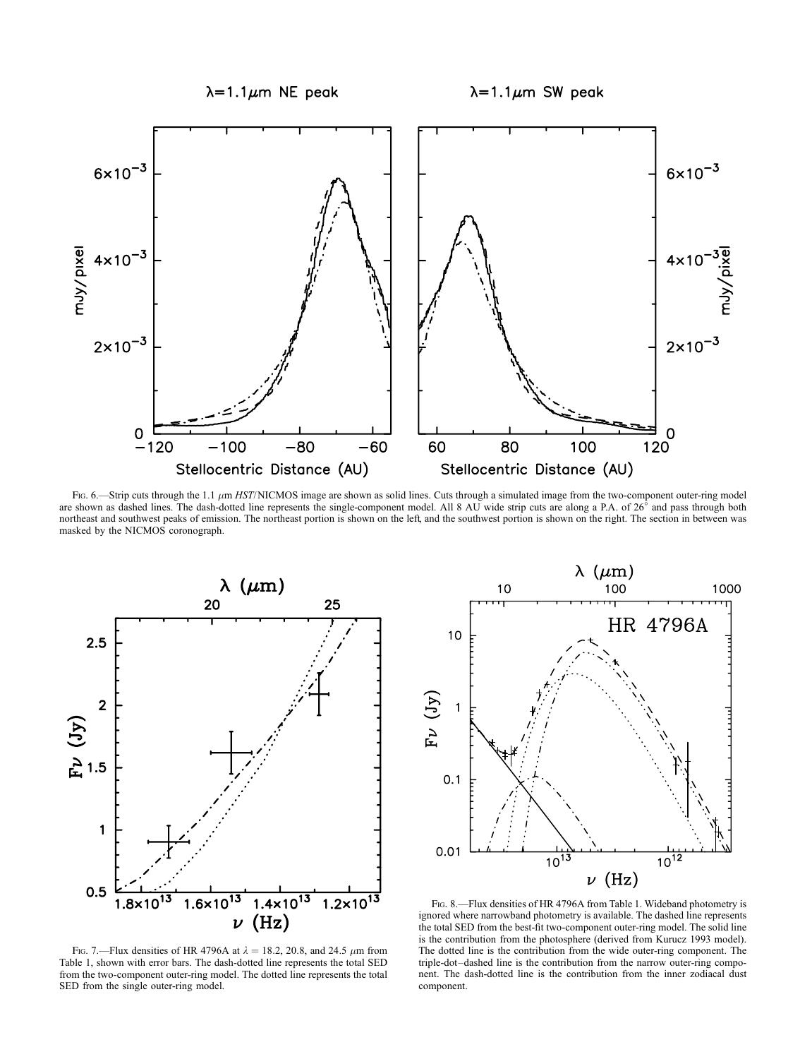

Fig. 6.—Strip cuts through the 1.1  $\mu$ m HST/NICMOS image are shown as solid lines. Cuts through a simulated image from the two-component outer-ring model are shown as dashed lines. The dash-dotted line represents the single-component model. All 8 AU wide strip cuts are along a P.A. of 26° and pass through both northeast and southwest peaks of emission. The northeast portion is shown on the left, and the southwest portion is shown on the right. The section in between was masked by the NICMOS coronograph.





Fig. 7.—Flux densities of HR 4796A at  $\lambda = 18.2$ , 20.8, and 24.5  $\mu$ m from Table 1, shown with error bars. The dash-dotted line represents the total SED from the two-component outer-ring model. The dotted line represents the total SED from the single outer-ring model.

Fig. 8.—Flux densities of HR 4796A from Table 1. Wideband photometry is ignored where narrowband photometry is available. The dashed line represents the total SED from the best-fit two-component outer-ring model. The solid line is the contribution from the photosphere (derived from Kurucz 1993 model). The dotted line is the contribution from the wide outer-ring component. The triple-dot–dashed line is the contribution from the narrow outer-ring component. The dash-dotted line is the contribution from the inner zodiacal dust component.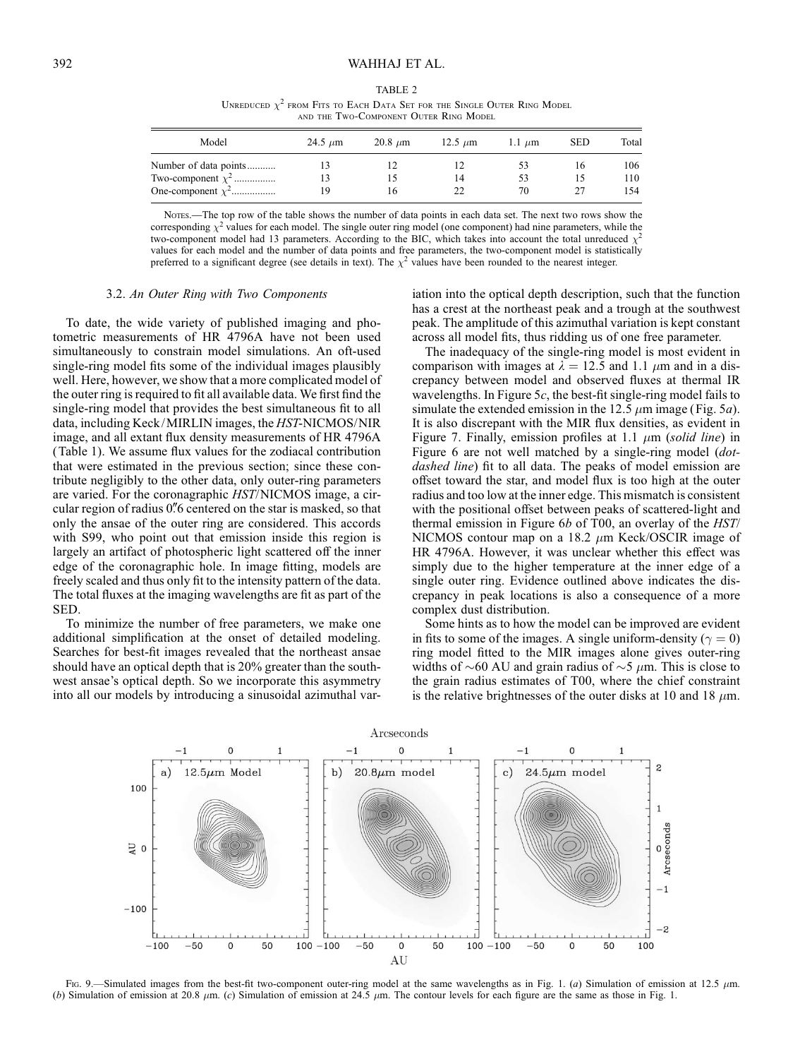| TABLE 2                                                                       |
|-------------------------------------------------------------------------------|
| UNREDUCED $\chi^2$ from Fits to Each Data Set for the Single Outer Ring Model |
| AND THE TWO-COMPONENT OUTER RING MODEL                                        |

| Model                  | 24.5 $\mu$ m | $20.8 \mu m$ | $12.5 \mu m$ | $1.1 \mu m$ | <b>SED</b> | Total |
|------------------------|--------------|--------------|--------------|-------------|------------|-------|
| Number of data points  |              |              |              | 53          | ١b         | 106   |
| Two-component $\chi^2$ | 13           |              | 14           | 53          |            | 110   |
| One-component $\chi^2$ | 19           | ١h           | 22           | 70          |            | 154   |

NOTES.—The top row of the table shows the number of data points in each data set. The next two rows show the corresponding  $\chi^2$  values for each model. The single outer ring model (one component) had nine parameters, while the two-component model had 13 parameters. According to the BIC, which takes into account the total unreduced  $\chi^2$ values for each model and the number of data points and free parameters, the two-component model is statistically preferred to a significant degree (see details in text). The  $\chi^2$  values have been rounded to the nearest integer.

#### 3.2. An Outer Ring with Two Components

To date, the wide variety of published imaging and photometric measurements of HR 4796A have not been used simultaneously to constrain model simulations. An oft-used single-ring model fits some of the individual images plausibly well. Here, however, we show that a more complicated model of the outer ring is required to fit all available data. We first find the single-ring model that provides the best simultaneous fit to all data, including Keck/MIRLIN images, the HST-NICMOS/NIR image, and all extant flux density measurements of HR 4796A (Table 1). We assume flux values for the zodiacal contribution that were estimated in the previous section; since these contribute negligibly to the other data, only outer-ring parameters are varied. For the coronagraphic HST/NICMOS image, a circular region of radius 0"6 centered on the star is masked, so that only the ansae of the outer ring are considered. This accords with S99, who point out that emission inside this region is largely an artifact of photospheric light scattered off the inner edge of the coronagraphic hole. In image fitting, models are freely scaled and thus only fit to the intensity pattern of the data. The total fluxes at the imaging wavelengths are fit as part of the SED.

To minimize the number of free parameters, we make one additional simplification at the onset of detailed modeling. Searches for best-fit images revealed that the northeast ansae should have an optical depth that is 20% greater than the southwest ansae's optical depth. So we incorporate this asymmetry into all our models by introducing a sinusoidal azimuthal var-

iation into the optical depth description, such that the function has a crest at the northeast peak and a trough at the southwest peak. The amplitude of this azimuthal variation is kept constant across all model fits, thus ridding us of one free parameter.

The inadequacy of the single-ring model is most evident in comparison with images at  $\lambda = 12.5$  and 1.1  $\mu$ m and in a discrepancy between model and observed fluxes at thermal IR wavelengths. In Figure 5 $c$ , the best-fit single-ring model fails to simulate the extended emission in the 12.5  $\mu$ m image (Fig. 5*a*). It is also discrepant with the MIR flux densities, as evident in Figure 7. Finally, emission profiles at 1.1  $\mu$ m (solid line) in Figure 6 are not well matched by a single-ring model (dotdashed line) fit to all data. The peaks of model emission are offset toward the star, and model flux is too high at the outer radius and too low at the inner edge. This mismatch is consistent with the positional offset between peaks of scattered-light and thermal emission in Figure 6b of T00, an overlay of the HST/ NICMOS contour map on a 18.2  $\mu$ m Keck/OSCIR image of HR 4796A. However, it was unclear whether this effect was simply due to the higher temperature at the inner edge of a single outer ring. Evidence outlined above indicates the discrepancy in peak locations is also a consequence of a more complex dust distribution.

Some hints as to how the model can be improved are evident in fits to some of the images. A single uniform-density ( $\gamma = 0$ ) ring model fitted to the MIR images alone gives outer-ring widths of  $\sim 60$  AU and grain radius of  $\sim 5$   $\mu$ m. This is close to the grain radius estimates of T00, where the chief constraint is the relative brightnesses of the outer disks at 10 and 18  $\mu$ m.



Fig. 9.—Simulated images from the best-fit two-component outer-ring model at the same wavelengths as in Fig. 1. (a) Simulation of emission at 12.5  $\mu$ m. (b) Simulation of emission at 20.8  $\mu$ m. (c) Simulation of emission at 24.5  $\mu$ m. The contour levels for each figure are the same as those in Fig. 1.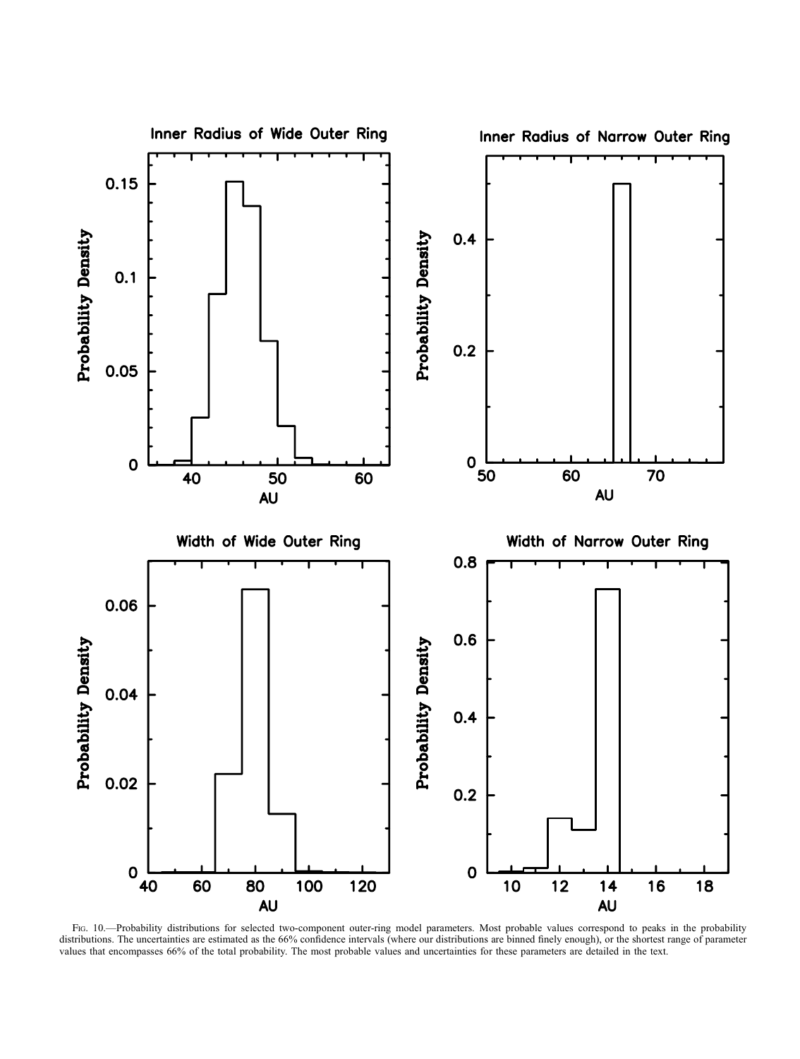

Fig. 10.—Probability distributions for selected two-component outer-ring model parameters. Most probable values correspond to peaks in the probability distributions. The uncertainties are estimated as the 66% confidence intervals (where our distributions are binned finely enough), or the shortest range of parameter values that encompasses 66% of the total probability. The most probable values and uncertainties for these parameters are detailed in the text.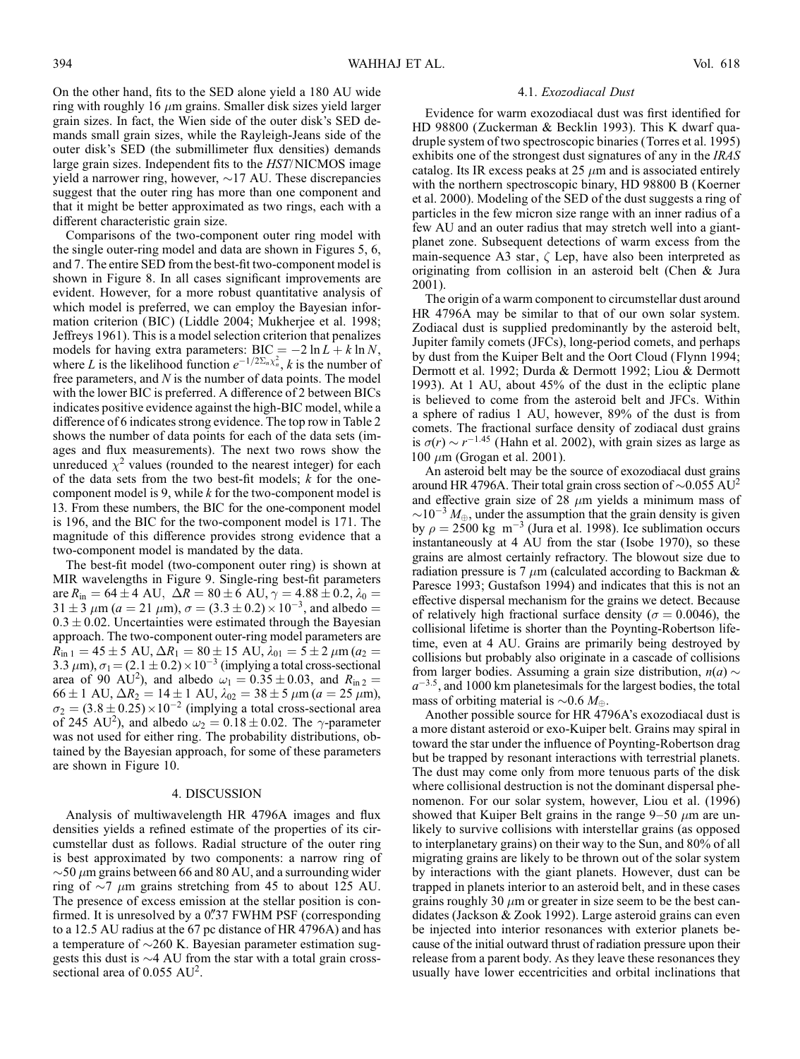On the other hand, fits to the SED alone yield a 180 AU wide ring with roughly 16  $\mu$ m grains. Smaller disk sizes yield larger grain sizes. In fact, the Wien side of the outer disk's SED demands small grain sizes, while the Rayleigh-Jeans side of the outer disk's SED (the submillimeter flux densities) demands large grain sizes. Independent fits to the HST/NICMOS image yield a narrower ring, however,  $\sim$ 17 AU. These discrepancies suggest that the outer ring has more than one component and that it might be better approximated as two rings, each with a different characteristic grain size.

Comparisons of the two-component outer ring model with the single outer-ring model and data are shown in Figures 5, 6, and 7. The entire SED from the best-fit two-component model is shown in Figure 8. In all cases significant improvements are evident. However, for a more robust quantitative analysis of which model is preferred, we can employ the Bayesian information criterion (BIC) (Liddle 2004; Mukherjee et al. 1998; Jeffreys 1961). This is a model selection criterion that penalizes models for having extra parameters:  $BIC = -2 \ln L + k \ln N$ , where L is the likelihood function  $e^{-1/2\Sigma_n \chi_n^2}$ , k is the number of free parameters, and  $N$  is the number of data points. The model with the lower BIC is preferred. A difference of 2 between BICs indicates positive evidence against the high-BIC model, while a difference of 6 indicates strong evidence. The top row in Table 2 shows the number of data points for each of the data sets (images and flux measurements). The next two rows show the unreduced  $\chi^2$  values (rounded to the nearest integer) for each of the data sets from the two best-fit models;  $k$  for the onecomponent model is 9, while  $k$  for the two-component model is 13. From these numbers, the BIC for the one-component model is 196, and the BIC for the two-component model is 171. The magnitude of this difference provides strong evidence that a two-component model is mandated by the data.

The best-fit model (two-component outer ring) is shown at MIR wavelengths in Figure 9. Single-ring best-fit parameters are  $R_{\text{in}} = 64 \pm 4 \text{ AU}, \ \Delta R = 80 \pm 6 \text{ AU}, \gamma = 4.88 \pm 0.2, \lambda_0 =$  $31 \pm 3 \ \mu \text{m}$  ( $a = 21 \ \mu \text{m}$ ),  $\sigma = (3.3 \pm 0.2) \times 10^{-3}$ , and albedo =  $0.3 \pm 0.02$ . Uncertainties were estimated through the Bayesian approach. The two-component outer-ring model parameters are  $R_{\text{in 1}} = 45 \pm 5 \text{ AU}, \Delta R_1 = 80 \pm 15 \text{ AU}, \lambda_{01} = 5 \pm 2 \mu \text{m}$  ( $a_2 =$ 3.3  $\mu$ m),  $\sigma_1 = (2.1 \pm 0.2) \times 10^{-3}$  (implying a total cross-sectional area of 90 AU<sup>2</sup>), and albedo  $\omega_1 = 0.35 \pm 0.03$ , and  $R_{\text{in}2} =$  $66 \pm 1$  AU,  $\Delta R_2 = 14 \pm 1$  AU,  $\lambda_{02} = 38 \pm 5$   $\mu$ m ( $a = 25$   $\mu$ m),  $\sigma_2 = (3.8 \pm 0.25) \times 10^{-2}$  (implying a total cross-sectional area of 245 AU<sup>2</sup>), and albedo  $\omega_2 = 0.18 \pm 0.02$ . The  $\gamma$ -parameter was not used for either ring. The probability distributions, obtained by the Bayesian approach, for some of these parameters are shown in Figure 10.

### 4. DISCUSSION

Analysis of multiwavelength HR 4796A images and flux densities yields a refined estimate of the properties of its circumstellar dust as follows. Radial structure of the outer ring is best approximated by two components: a narrow ring of  $\sim$  50  $\mu$ m grains between 66 and 80 AU, and a surrounding wider ring of  $\sim$ 7  $\mu$ m grains stretching from 45 to about 125 AU. The presence of excess emission at the stellar position is confirmed. It is unresolved by a 0"37 FWHM PSF (corresponding to a 12.5 AU radius at the 67 pc distance of HR 4796A) and has a temperature of  $\sim$ 260 K. Bayesian parameter estimation suggests this dust is  $\sim$ 4 AU from the star with a total grain crosssectional area of 0.055 AU<sup>2</sup>.

#### 4.1. Exozodiacal Dust

Evidence for warm exozodiacal dust was first identified for HD 98800 (Zuckerman & Becklin 1993). This K dwarf quadruple system of two spectroscopic binaries (Torres et al. 1995) exhibits one of the strongest dust signatures of any in the IRAS catalog. Its IR excess peaks at 25  $\mu$ m and is associated entirely with the northern spectroscopic binary, HD 98800 B (Koerner et al. 2000). Modeling of the SED of the dust suggests a ring of particles in the few micron size range with an inner radius of a few AU and an outer radius that may stretch well into a giantplanet zone. Subsequent detections of warm excess from the main-sequence A3 star,  $\zeta$  Lep, have also been interpreted as originating from collision in an asteroid belt (Chen & Jura 2001).

The origin of a warm component to circumstellar dust around HR 4796A may be similar to that of our own solar system. Zodiacal dust is supplied predominantly by the asteroid belt, Jupiter family comets (JFCs), long-period comets, and perhaps by dust from the Kuiper Belt and the Oort Cloud (Flynn 1994; Dermott et al. 1992; Durda & Dermott 1992; Liou & Dermott 1993). At 1 AU, about 45% of the dust in the ecliptic plane is believed to come from the asteroid belt and JFCs. Within a sphere of radius 1 AU, however, 89% of the dust is from comets. The fractional surface density of zodiacal dust grains is  $\sigma(r) \sim r^{-1.45}$  (Hahn et al. 2002), with grain sizes as large as 100  $\mu$ m (Grogan et al. 2001).

An asteroid belt may be the source of exozodiacal dust grains around HR 4796A. Their total grain cross section of  $\sim 0.055 \text{ AU}^2$ and effective grain size of 28  $\mu$ m yields a minimum mass of  $\sim$ 10<sup>-3</sup>  $M_{\oplus}$ , under the assumption that the grain density is given by  $\rho = 2500 \text{ kg m}^{-3}$  (Jura et al. 1998). Ice sublimation occurs instantaneously at 4 AU from the star ( Isobe 1970), so these grains are almost certainly refractory. The blowout size due to radiation pressure is 7  $\mu$ m (calculated according to Backman & Paresce 1993; Gustafson 1994) and indicates that this is not an effective dispersal mechanism for the grains we detect. Because of relatively high fractional surface density ( $\sigma = 0.0046$ ), the collisional lifetime is shorter than the Poynting-Robertson lifetime, even at 4 AU. Grains are primarily being destroyed by collisions but probably also originate in a cascade of collisions from larger bodies. Assuming a grain size distribution,  $n(a) \sim$  $a^{-3.5}$ , and 1000 km planetesimals for the largest bodies, the total mass of orbiting material is  $\sim 0.6 M_{\oplus}$ .

Another possible source for HR 4796A's exozodiacal dust is a more distant asteroid or exo-Kuiper belt. Grains may spiral in toward the star under the influence of Poynting-Robertson drag but be trapped by resonant interactions with terrestrial planets. The dust may come only from more tenuous parts of the disk where collisional destruction is not the dominant dispersal phenomenon. For our solar system, however, Liou et al. (1996) showed that Kuiper Belt grains in the range  $9-50 \mu m$  are unlikely to survive collisions with interstellar grains (as opposed to interplanetary grains) on their way to the Sun, and 80% of all migrating grains are likely to be thrown out of the solar system by interactions with the giant planets. However, dust can be trapped in planets interior to an asteroid belt, and in these cases grains roughly 30  $\mu$ m or greater in size seem to be the best candidates (Jackson & Zook 1992). Large asteroid grains can even be injected into interior resonances with exterior planets because of the initial outward thrust of radiation pressure upon their release from a parent body. As they leave these resonances they usually have lower eccentricities and orbital inclinations that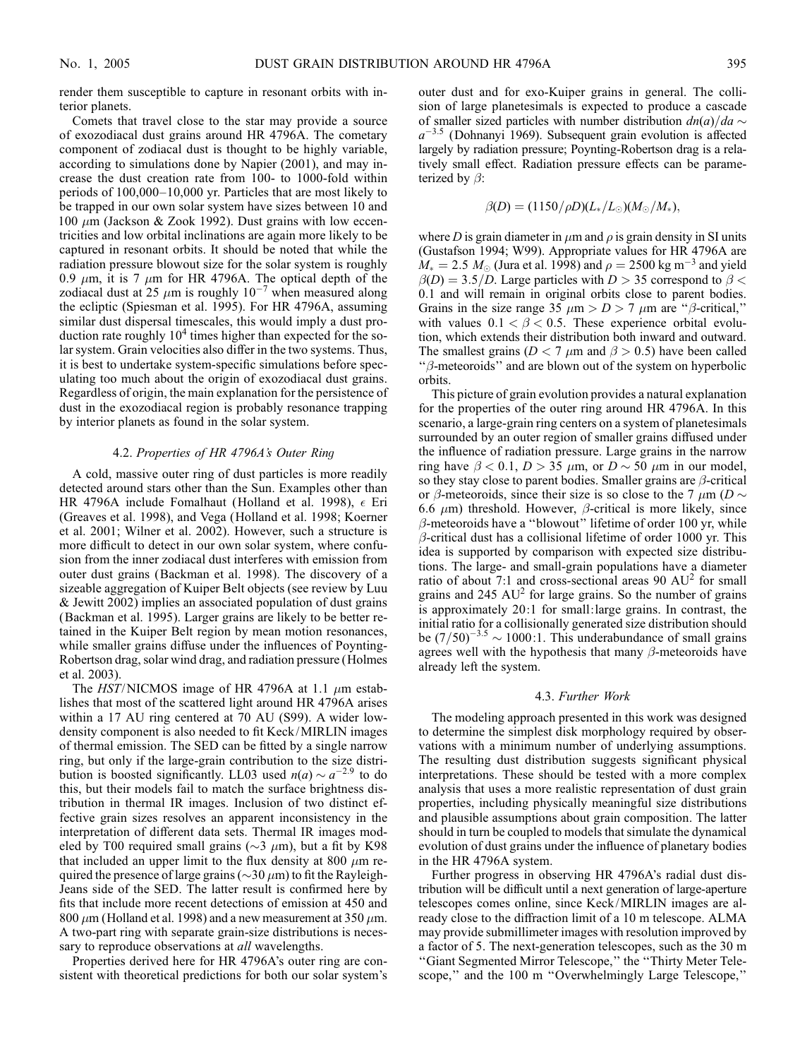render them susceptible to capture in resonant orbits with interior planets.

Comets that travel close to the star may provide a source of exozodiacal dust grains around HR 4796A. The cometary component of zodiacal dust is thought to be highly variable, according to simulations done by Napier (2001), and may increase the dust creation rate from 100- to 1000-fold within periods of 100,000–10,000 yr. Particles that are most likely to be trapped in our own solar system have sizes between 10 and 100  $\mu$ m (Jackson & Zook 1992). Dust grains with low eccentricities and low orbital inclinations are again more likely to be captured in resonant orbits. It should be noted that while the radiation pressure blowout size for the solar system is roughly 0.9  $\mu$ m, it is 7  $\mu$ m for HR 4796A. The optical depth of the zodiacal dust at 25  $\mu$ m is roughly 10<sup>-7</sup> when measured along the ecliptic (Spiesman et al. 1995). For HR 4796A, assuming similar dust dispersal timescales, this would imply a dust production rate roughly  $10<sup>4</sup>$  times higher than expected for the solar system. Grain velocities also differ in the two systems. Thus, it is best to undertake system-specific simulations before speculating too much about the origin of exozodiacal dust grains. Regardless of origin, the main explanation for the persistence of dust in the exozodiacal region is probably resonance trapping by interior planets as found in the solar system.

## 4.2. Properties of HR 4796A's Outer Ring

A cold, massive outer ring of dust particles is more readily detected around stars other than the Sun. Examples other than HR 4796A include Fomalhaut (Holland et al. 1998),  $\epsilon$  Eri (Greaves et al. 1998), and Vega (Holland et al. 1998; Koerner et al. 2001; Wilner et al. 2002). However, such a structure is more difficult to detect in our own solar system, where confusion from the inner zodiacal dust interferes with emission from outer dust grains (Backman et al. 1998). The discovery of a sizeable aggregation of Kuiper Belt objects (see review by Luu & Jewitt 2002) implies an associated population of dust grains (Backman et al. 1995). Larger grains are likely to be better retained in the Kuiper Belt region by mean motion resonances, while smaller grains diffuse under the influences of Poynting-Robertson drag, solar wind drag, and radiation pressure (Holmes et al. 2003).

The  $HST/NICMOS$  image of HR 4796A at 1.1  $\mu$ m establishes that most of the scattered light around HR 4796A arises within a 17 AU ring centered at 70 AU (S99). A wider lowdensity component is also needed to fit Keck/MIRLIN images of thermal emission. The SED can be fitted by a single narrow ring, but only if the large-grain contribution to the size distribution is boosted significantly. LL03 used  $n(a) \sim a^{-2.9}$  to do this, but their models fail to match the surface brightness distribution in thermal IR images. Inclusion of two distinct effective grain sizes resolves an apparent inconsistency in the interpretation of different data sets. Thermal IR images modeled by T00 required small grains ( $\sim$ 3  $\mu$ m), but a fit by K98 that included an upper limit to the flux density at 800  $\mu$ m required the presence of large grains ( $\sim$ 30  $\mu$ m) to fit the Rayleigh-Jeans side of the SED. The latter result is confirmed here by fits that include more recent detections of emission at 450 and 800  $\mu$ m (Holland et al. 1998) and a new measurement at 350  $\mu$ m. A two-part ring with separate grain-size distributions is necessary to reproduce observations at *all* wavelengths.

Properties derived here for HR 4796A's outer ring are consistent with theoretical predictions for both our solar system's

outer dust and for exo-Kuiper grains in general. The collision of large planetesimals is expected to produce a cascade of smaller sized particles with number distribution  $dn(a)/da \sim$  $a^{-3.5}$  (Dohnanyi 1969). Subsequent grain evolution is affected largely by radiation pressure; Poynting-Robertson drag is a relatively small effect. Radiation pressure effects can be parameterized by  $\beta$ :

$$
\beta(D) = (1150/\rho D)(L_*/L_{\odot})(M_{\odot}/M_*),
$$

where D is grain diameter in  $\mu$ m and  $\rho$  is grain density in SI units (Gustafson 1994; W99). Appropriate values for HR 4796A are  $M_* = 2.5$   $M_{\odot}$  (Jura et al. 1998) and  $\rho = 2500$  kg m<sup>-3</sup> and yield  $\beta(D) = 3.5/D$ . Large particles with  $D > 35$  correspond to  $\beta <$ 0:1 and will remain in original orbits close to parent bodies. Grains in the size range 35  $\mu$ m > D > 7  $\mu$ m are " $\beta$ -critical," with values  $0.1 < \beta < 0.5$ . These experience orbital evolution, which extends their distribution both inward and outward. The smallest grains ( $D < 7 \mu$ m and  $\beta > 0.5$ ) have been called " $\beta$ -meteoroids" and are blown out of the system on hyperbolic orbits.

This picture of grain evolution provides a natural explanation for the properties of the outer ring around HR 4796A. In this scenario, a large-grain ring centers on a system of planetesimals surrounded by an outer region of smaller grains diffused under the influence of radiation pressure. Large grains in the narrow ring have  $\beta$  < 0.1, D > 35  $\mu$ m, or D  $\sim$  50  $\mu$ m in our model, so they stay close to parent bodies. Smaller grains are  $\beta$ -critical or  $\beta$ -meteoroids, since their size is so close to the 7  $\mu$ m (D  $\sim$ 6.6  $\mu$ m) threshold. However,  $\beta$ -critical is more likely, since  $\beta$ -meteoroids have a "blowout" lifetime of order 100 yr, while  $\beta$ -critical dust has a collisional lifetime of order 1000 yr. This idea is supported by comparison with expected size distributions. The large- and small-grain populations have a diameter ratio of about 7:1 and cross-sectional areas 90  $AU^2$  for small grains and  $245 \text{ AU}^2$  for large grains. So the number of grains is approximately 20:1 for small:large grains. In contrast, the initial ratio for a collisionally generated size distribution should be  $(7/50)^{-3.5} \sim 1000:1$ . This underabundance of small grains agrees well with the hypothesis that many  $\beta$ -meteoroids have already left the system.

## 4.3. Further Work

The modeling approach presented in this work was designed to determine the simplest disk morphology required by observations with a minimum number of underlying assumptions. The resulting dust distribution suggests significant physical interpretations. These should be tested with a more complex analysis that uses a more realistic representation of dust grain properties, including physically meaningful size distributions and plausible assumptions about grain composition. The latter should in turn be coupled to models that simulate the dynamical evolution of dust grains under the influence of planetary bodies in the HR 4796A system.

Further progress in observing HR 4796A's radial dust distribution will be difficult until a next generation of large-aperture telescopes comes online, since Keck/MIRLIN images are already close to the diffraction limit of a 10 m telescope. ALMA may provide submillimeter images with resolution improved by a factor of 5. The next-generation telescopes, such as the 30 m ''Giant Segmented Mirror Telescope,'' the ''Thirty Meter Telescope," and the 100 m "Overwhelmingly Large Telescope,"